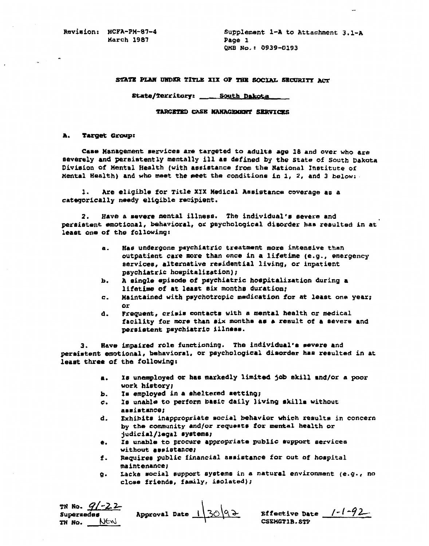**March 1987 Page** 1

**Revision: HCFA-PM-87-4 Supplement 1-A to Attachment 3.1-A**<br>**Back 1987 Page 1 QMB NO.: 0939-0193** 

### STATE PLAN UNDER TITLE XIX OF THE SOCIAL SECURITY ACT

### State/Territory: \_\_\_\_\_ South Dakota

### TARGETED CASE MANAGEMENT SERVICES

### **A.** *target* **group**

**Case Management Services** *are* targeted **to** adults **age 18** and over **who are serverely** and persistently **mentally ill** as defined by **the State of** South **Dakota division of** Mental **Health (with** assistance **from the** National Institute **of**  mental Health) and **who** meet **the met** the **conditions** in **1, 2,** and **3** below:.

**1. Are** eligible **for** Title **XIX Medical assistance** coverage **88 a**  categorically **needy eligible** recipient.

2. **Have a severe mental illness.** The individual's severe and **persistent** emotional, behavioral, **Or** psychological **disorder has resulted** in **at least one of the following:** 

- **a. has** undergone **psychiatric** treatment **more intensive than**  outpatient **care** more than **once in a lifetime (e.g., emergency**  services, alternative residential living, or inpatient psychiatric hospitalization);
- **b. A single** episode **of psychiatric** hospitalization **during a**  lifetime **of at least** *six* months duration;
- **c.** maintainedwithpsychotropic **medication �or at** least **one** year;
- *or*  **d.** Frequent, **crisis** contacts **with a** mental **health or medical**  facility **for more** than six months **as** *8* **result** of a **severe** and **persistent psychiatric illness**

**3. Wave impaired role functioning.** *The* individual'. **severe and peraimtent emotional, behavioral or** psychological **disorder has resulted in** at **lea& three** *of* the **following:** 

- a. **Is unemployed or has** markedly **limited job skill** and/or **a poor work hietory***r*
- **b.** Is employed in a sheltered setting;<br>c. Is unable to perform basic daily live
- *C.* **le unable to perform basic** daily living skills without assistance
- d. **Exhibits** inappropriate **social behavior which** results **in concern by the community and/or requests for mental** health **or**  judicial/legal systems
- **e. Is** unable **to procure appropriate public support** services without assistance;
- **f.** Requires **public** financial assistance **for out of** hospital maintenance;
- *9.* **lacks** social **support systems** in **a** natural environment **(e.g., no**  close friends, family, isolated);

| TN No. $9/-22$<br>Supersedes | Approval Date $13092$ | Effective Date $1-l-92-$ |  |
|------------------------------|-----------------------|--------------------------|--|
| TN No.<br>NEW                |                       | CSEMGT1B.STP             |  |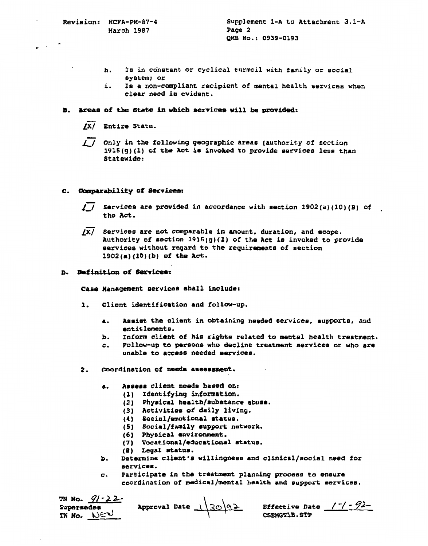- **h. le in constant or cyclical turmoil with family or social system; or**
- **i.** *Is* **a non-compliant recipient of mental health services when clear need is evident.**

## B. Areas of the State in which services will be provided:

- $\sqrt{X}$  Entire State.
- / / Only in the following geographic areas (authority of section 1915(g)(1) of the Act is invoked to provide services less than Statewide:

## **comparability** *of* **services**

- Services are provided in accordance with section  $1902(a)(10)(B)$  of  $\prime$  / the Act.
- *fz***Services are not comparable in amount, duration, and scope. Authority of section 1915(g)(1)** *of* **the Act is invoked to provide services without regard to the requirement8 of section 1902(a) (10)(b) of the Act.**
- **D. definition of services**

**cam management service6 shall include:** 

- **1. Client identification and follow-up.** 
	- **a. Aselst the client in obtaining needed services supports and entitlemente.**
	- b. **inform client** *Of* **hie tights related to mental health treatment.**
	- *c.* **Follow-up to petsons who decline treatment services or who are unable to access needed services**
- **2- Coordination of needs assessment** 
	- **a. assess client needo based on:** 
		- **(1) identifying information.** 
			- **(2) Physical health/substance abuse.**
			- **(3) activities of daily living.**
			- **(4) social/emotional status**
			- **(5) Social/family support network.**
			- *(6)* **Physical environment.**
			- *(7)* **Vocational/educational status**
			- **(8) Legal status**
	- Determine client's willingness and clinical/social need for ъ. **services**
	- **c. Participate inthe treatment planning process to ensure coordination of medical/mental healthand support services**

| TN No. $9/-22$           | Approval Date $\frac{1}{30}$ 92 | Effective Date $/7/7$ - $92-$ |
|--------------------------|---------------------------------|-------------------------------|
| Supersedes<br>TN NO. NEW |                                 | CSEMGT1B.STP                  |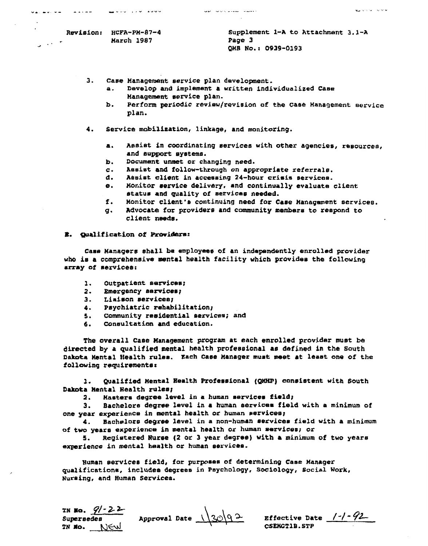**CONTRACT STATE** 

 $\overline{a}$ 

فالمحافظ والمحافظ

**3. case Management service plan development.** 

**a. Develop and implement a written individualized Case Management service plan.** 

والمصطر الصفيات بالرباب العويد

- **b. Perform periodic review/revision of the case Management service plan.**
- **4. Service mobilization linkage, and monitoring.** 
	- **a. assist in coordinating services with other agencies, resources and support systems**
	- **b. Document unmet** *or* **changing need.**
	- **assist and follow-through on appropriate referrals.**
	- **d. assist client in accessing 24-hour crisis services**
	- **e. Monitor service delivery, and continually evaluate client status and quality of services needed.**
	- **f. Monitor client's continuing need far Case Management services**
	- **g. Advocate for providere and community members to respond** *to*  **client needs.**

### *8.* **qualification of providers**

**Case managers shall be employee8 of an independently enrolled provider who is a comprehensive mental healthfacility which provides the following array** *of* **services** 

- **1. Outpatient serviceat**
- *2.* **Emergency services**
- **3. Liaison services**
- **4. psychiatric rehabilitation;**
- 5. Community residential services; and <br>6. Consultation and education.
- **6. consultation urd education.**

**The overall Case Management program at each enrolled provider met be directed by a qualified mental health professionalas defined in the south Dakota Mental Health rules Each Case Manager must met at least one of the following requirements** 

**1. Qualified Mental Health professional (Qnrrp) consistent with South Dakota Mental Health rules;** 

**2. Maatera degree level in a human services field;** 

**3. Bachelors degree level in a human service. field with a minimum of one year experience in mental healthor human services** 

*P.* **Bachelors degree level in a non-human services field with a minimum**  of two years experience in mental health or human services; or

**5. registered Nurse (2 or 3 year degree) with a minimum of two yeare experience in mental health or human services** 

**Human services field, for purposes of determining Case Manager qualification includes degrees in psychology Sociology, Social Work, nursing and Human Services.** 

**TN lo.** *f1-a*  **TN RO.** NEW CSENGT1B.STP

**supersedes** Approval Date  $\sqrt{30/9^2}$  Effective Date /-/-92